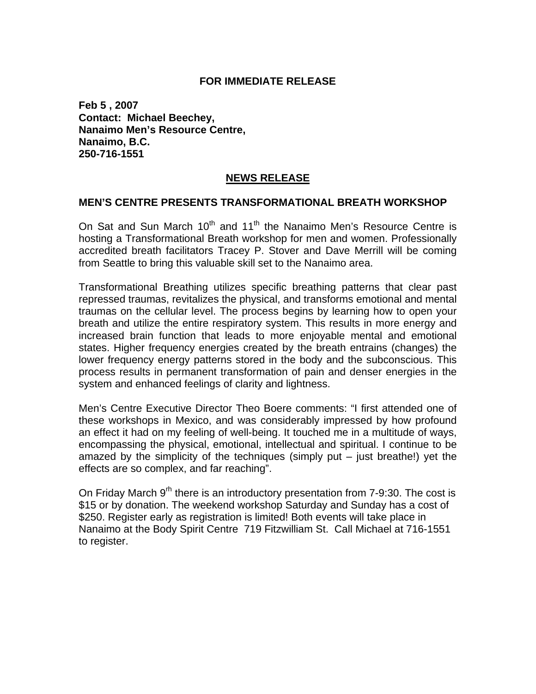### **FOR IMMEDIATE RELEASE**

**Feb 5 , 2007 Contact: Michael Beechey, Nanaimo Men's Resource Centre, Nanaimo, B.C. 250-716-1551** 

### **NEWS RELEASE**

#### **MEN'S CENTRE PRESENTS TRANSFORMATIONAL BREATH WORKSHOP**

On Sat and Sun March  $10^{th}$  and  $11^{th}$  the Nanaimo Men's Resource Centre is hosting a Transformational Breath workshop for men and women. Professionally accredited breath facilitators Tracey P. Stover and Dave Merrill will be coming from Seattle to bring this valuable skill set to the Nanaimo area.

Transformational Breathing utilizes specific breathing patterns that clear past repressed traumas, revitalizes the physical, and transforms emotional and mental traumas on the cellular level. The process begins by learning how to open your breath and utilize the entire respiratory system. This results in more energy and increased brain function that leads to more enjoyable mental and emotional states. Higher frequency energies created by the breath entrains (changes) the lower frequency energy patterns stored in the body and the subconscious. This process results in permanent transformation of pain and denser energies in the system and enhanced feelings of clarity and lightness.

Men's Centre Executive Director Theo Boere comments: "I first attended one of these workshops in Mexico, and was considerably impressed by how profound an effect it had on my feeling of well-being. It touched me in a multitude of ways, encompassing the physical, emotional, intellectual and spiritual. I continue to be amazed by the simplicity of the techniques (simply put – just breathe!) yet the effects are so complex, and far reaching".

On Friday March 9<sup>th</sup> there is an introductory presentation from 7-9:30. The cost is \$15 or by donation. The weekend workshop Saturday and Sunday has a cost of \$250. Register early as registration is limited! Both events will take place in Nanaimo at the Body Spirit Centre 719 Fitzwilliam St. Call Michael at 716-1551 to register.